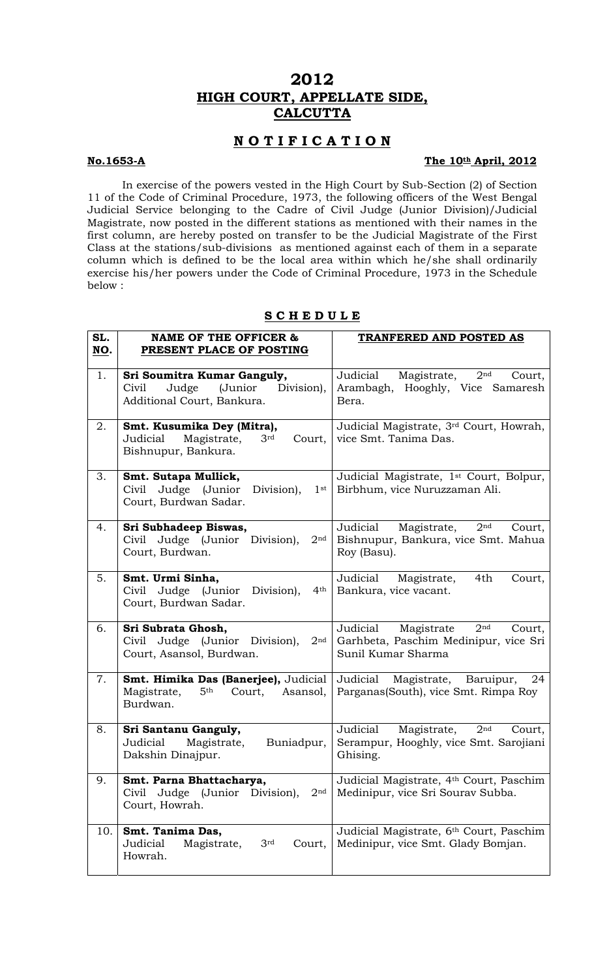# **2012 HIGH COURT, APPELLATE SIDE, CALCUTTA**

## **N O T I F I C A T I O N**

## **No.1653-A The 10th April, 2012**

In exercise of the powers vested in the High Court by Sub-Section (2) of Section 11 of the Code of Criminal Procedure, 1973, the following officers of the West Bengal Judicial Service belonging to the Cadre of Civil Judge (Junior Division)/Judicial Magistrate, now posted in the different stations as mentioned with their names in the first column, are hereby posted on transfer to be the Judicial Magistrate of the First Class at the stations/sub-divisions as mentioned against each of them in a separate column which is defined to be the local area within which he/she shall ordinarily exercise his/her powers under the Code of Criminal Procedure, 1973 in the Schedule below :

| SL.<br>NO. | <b>NAME OF THE OFFICER &amp;</b><br>PRESENT PLACE OF POSTING                                              | TRANFERED AND POSTED AS                                                                                            |
|------------|-----------------------------------------------------------------------------------------------------------|--------------------------------------------------------------------------------------------------------------------|
| 1.         | Sri Soumitra Kumar Ganguly,<br>Judge (Junior<br>Civil<br>Division),<br>Additional Court, Bankura.         | Judicial<br>Magistrate,<br>2 <sup>nd</sup><br>Court,<br>Arambagh, Hooghly, Vice Samaresh<br>Bera.                  |
| 2.         | Smt. Kusumika Dey (Mitra),<br>Judicial<br>Magistrate,<br>3 <sup>rd</sup><br>Court,<br>Bishnupur, Bankura. | Judicial Magistrate, 3 <sup>rd</sup> Court, Howrah,<br>vice Smt. Tanima Das.                                       |
| 3.         | Smt. Sutapa Mullick,<br>Civil Judge (Junior<br>Division),<br>$1$ st<br>Court, Burdwan Sadar.              | Judicial Magistrate, 1st Court, Bolpur,<br>Birbhum, vice Nuruzzaman Ali.                                           |
| 4.         | Sri Subhadeep Biswas,<br>Civil Judge (Junior Division),<br>2 <sup>nd</sup><br>Court, Burdwan.             | 2 <sup>nd</sup><br>Magistrate,<br>Judicial<br>Court,<br>Bishnupur, Bankura, vice Smt. Mahua<br>Roy (Basu).         |
| 5.         | Smt. Urmi Sinha,<br>Civil Judge (Junior<br>Division),<br>4 <sup>th</sup><br>Court, Burdwan Sadar.         | Judicial<br>Magistrate,<br>4th<br>Court,<br>Bankura, vice vacant.                                                  |
| 6.         | Sri Subrata Ghosh,<br>Civil Judge (Junior Division),<br>2 <sup>nd</sup><br>Court, Asansol, Burdwan.       | Judicial<br>2 <sup>nd</sup><br>Magistrate<br>Court,<br>Garhbeta, Paschim Medinipur, vice Sri<br>Sunil Kumar Sharma |
| 7.         | Smt. Himika Das (Banerjee), Judicial<br>Magistrate,<br>5 <sup>th</sup><br>Court,<br>Asansol,<br>Burdwan.  | Judicial Magistrate, Baruipur,<br>24<br>Parganas(South), vice Smt. Rimpa Roy                                       |
| 8.         | Sri Santanu Ganguly,<br>Judicial<br>Magistrate,<br>Buniadpur,<br>Dakshin Dinajpur.                        | Judicial<br>Magistrate,<br>2 <sup>nd</sup><br>Court,<br>Serampur, Hooghly, vice Smt. Sarojiani<br>Ghising.         |
| 9.         | Smt. Parna Bhattacharya,<br>Judge<br>(Junior Division),<br>2 <sub>nd</sub><br>Civil<br>Court, Howrah.     | Judicial Magistrate, 4th Court, Paschim<br>Medinipur, vice Sri Sourav Subba.                                       |
| 10.        | Smt. Tanima Das,<br>Judicial<br>3rd<br>Magistrate,<br>Court,<br>Howrah.                                   | Judicial Magistrate, 6th Court, Paschim<br>Medinipur, vice Smt. Glady Bomjan.                                      |

### **S C H E D U L E**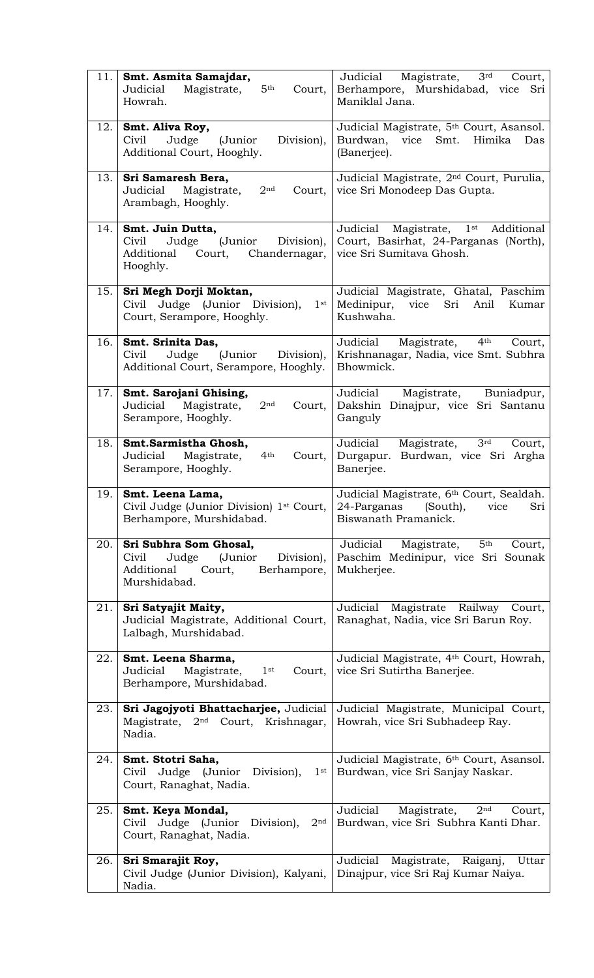| 11. | Smt. Asmita Samajdar,<br>Magistrate,<br>5 <sup>th</sup><br>Judicial<br>Court,<br>Howrah.                                 | Magistrate,<br>3 <sup>rd</sup><br>Judicial<br>Court,<br>Berhampore, Murshidabad, vice<br>Sri<br>Maniklal Jana.   |
|-----|--------------------------------------------------------------------------------------------------------------------------|------------------------------------------------------------------------------------------------------------------|
| 12. | Smt. Aliva Roy,<br>(Junior<br>Division),<br>Civil<br>Judge<br>Additional Court, Hooghly.                                 | Judicial Magistrate, 5 <sup>th</sup> Court, Asansol.<br>Himika<br>Burdwan,<br>Smt.<br>vice<br>Das<br>(Banerjee). |
| 13. | Sri Samaresh Bera,<br>2 <sub>nd</sub><br>Judicial<br>Magistrate,<br>Court,<br>Arambagh, Hooghly.                         | Judicial Magistrate, 2 <sup>nd</sup> Court, Purulia,<br>vice Sri Monodeep Das Gupta.                             |
| 14. | Smt. Juin Dutta,<br>(Junior Division),<br>Judge<br>Civil<br>Court,<br>Chandernagar,<br>Additional<br>Hooghly.            | Judicial Magistrate, 1st<br>Additional<br>Court, Basirhat, 24-Parganas (North),<br>vice Sri Sumitava Ghosh.      |
| 15. | Sri Megh Dorji Moktan,<br>Civil Judge (Junior Division),<br>$1$ st<br>Court, Serampore, Hooghly.                         | Judicial Magistrate, Ghatal, Paschim<br>Medinipur,<br>vice<br>Sri<br>Anil<br>Kumar<br>Kushwaha.                  |
| 16. | Smt. Srinita Das,<br>(Junior<br>Civil<br>Judge<br>Division),<br>Additional Court, Serampore, Hooghly.                    | 4 <sup>th</sup><br>Magistrate,<br>Judicial<br>Court,<br>Krishnanagar, Nadia, vice Smt. Subhra<br>Bhowmick.       |
| 17. | Smt. Sarojani Ghising,<br>2 <sup>nd</sup><br>Judicial<br>Magistrate,<br>Court,<br>Serampore, Hooghly.                    | Judicial<br>Magistrate, Buniadpur,<br>Dakshin Dinajpur, vice Sri Santanu<br>Ganguly                              |
| 18. | Smt.Sarmistha Ghosh,<br>4 <sup>th</sup><br>Judicial<br>Magistrate,<br>Court,<br>Serampore, Hooghly.                      | Judicial<br>Magistrate,<br>3 <sup>rd</sup><br>Court,<br>Burdwan, vice Sri Argha<br>Durgapur.<br>Banerjee.        |
| 19. | Smt. Leena Lama,<br>Civil Judge (Junior Division) 1st Court,<br>Berhampore, Murshidabad.                                 | Judicial Magistrate, 6th Court, Sealdah.<br>24-Parganas<br>(South),<br>Sri<br>vice<br>Biswanath Pramanick.       |
| 20. | Sri Subhra Som Ghosal,<br>Civil<br>Judge<br>(Junior<br>Division),<br>Additional<br>Court,<br>Berhampore,<br>Murshidabad. | 5 <sup>th</sup><br>Judicial<br>Magistrate,<br>Court,<br>Paschim Medinipur, vice Sri Sounak<br>Mukherjee.         |
| 21. | Sri Satyajit Maity,<br>Judicial Magistrate, Additional Court,<br>Lalbagh, Murshidabad.                                   | Judicial<br>Magistrate Railway Court,<br>Ranaghat, Nadia, vice Sri Barun Roy.                                    |
| 22. | Smt. Leena Sharma,<br>Judicial<br>Magistrate,<br>$1^{\rm st}$<br>Court,<br>Berhampore, Murshidabad.                      | Judicial Magistrate, 4th Court, Howrah,<br>vice Sri Sutirtha Banerjee.                                           |
| 23. | Sri Jagojyoti Bhattacharjee, Judicial<br>Magistrate, 2 <sup>nd</sup> Court, Krishnagar,<br>Nadia.                        | Judicial Magistrate, Municipal Court,<br>Howrah, vice Sri Subhadeep Ray.                                         |
| 24. | Smt. Stotri Saha,<br>Civil Judge (Junior<br>Division),<br>$1$ st<br>Court, Ranaghat, Nadia.                              | Judicial Magistrate, 6th Court, Asansol.<br>Burdwan, vice Sri Sanjay Naskar.                                     |
| 25. | Smt. Keya Mondal,<br>Civil Judge (Junior Division),<br>2 <sup>nd</sup><br>Court, Ranaghat, Nadia.                        | Judicial<br>Magistrate,<br>2 <sup>nd</sup><br>Court,<br>Burdwan, vice Sri Subhra Kanti Dhar.                     |
| 26. | Sri Smarajit Roy,<br>Civil Judge (Junior Division), Kalyani,<br>Nadia.                                                   | Judicial<br>Magistrate,<br>Raiganj,<br>Uttar<br>Dinajpur, vice Sri Raj Kumar Naiya.                              |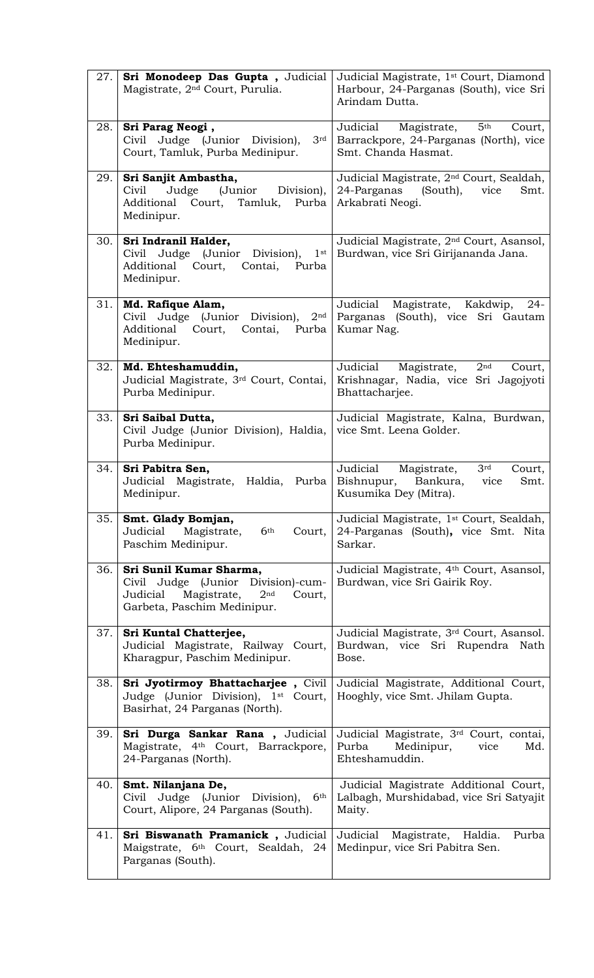| 27.  | Sri Monodeep Das Gupta, Judicial<br>Magistrate, 2 <sup>nd</sup> Court, Purulia.                                                                      | Judicial Magistrate, 1 <sup>st</sup> Court, Diamond<br>Harbour, 24-Parganas (South), vice Sri<br>Arindam Dutta.       |
|------|------------------------------------------------------------------------------------------------------------------------------------------------------|-----------------------------------------------------------------------------------------------------------------------|
| 28.  | Sri Parag Neogi,<br>Judge (Junior Division),<br>Civil<br>3rd<br>Court, Tamluk, Purba Medinipur.                                                      | 5 <sup>th</sup><br>Magistrate,<br>Judicial<br>Court,<br>Barrackpore, 24-Parganas (North), vice<br>Smt. Chanda Hasmat. |
| 29.1 | Sri Sanjit Ambastha,<br>Judge<br>(Junior Division),<br>Civil<br>Additional Court, Tamluk, Purba<br>Medinipur.                                        | Judicial Magistrate, 2 <sup>nd</sup> Court, Sealdah,<br>24-Parganas (South),<br>vice<br>Smt.<br>Arkabrati Neogi.      |
| 30.  | Sri Indranil Halder,<br>Civil Judge (Junior Division),<br>$1$ st<br>Additional Court,<br>Contai,<br>Purba<br>Medinipur.                              | Judicial Magistrate, 2 <sup>nd</sup> Court, Asansol,<br>Burdwan, vice Sri Girijananda Jana.                           |
| 31.  | Md. Rafique Alam,<br>Civil Judge (Junior Division),<br>2 <sup>nd</sup><br>Additional Court,<br>Contai, Purba<br>Medinipur.                           | Judicial<br>Magistrate,<br>Kakdwip,<br>$24 -$<br>Parganas (South), vice Sri Gautam<br>Kumar Nag.                      |
| 32.  | Md. Ehteshamuddin,<br>Judicial Magistrate, 3rd Court, Contai,<br>Purba Medinipur.                                                                    | Judicial<br>Magistrate,<br>2 <sup>nd</sup><br>Court,<br>Krishnagar, Nadia, vice Sri Jagojyoti<br>Bhattacharjee.       |
| 33.  | Sri Saibal Dutta,<br>Civil Judge (Junior Division), Haldia,<br>Purba Medinipur.                                                                      | Judicial Magistrate, Kalna, Burdwan,<br>vice Smt. Leena Golder.                                                       |
| 34.  | Sri Pabitra Sen,<br>Judicial Magistrate,<br>Haldia, Purba<br>Medinipur.                                                                              | Judicial<br>Magistrate,<br>3 <sup>rd</sup><br>Court,<br>Bishnupur, Bankura,<br>vice<br>Smt.<br>Kusumika Dey (Mitra).  |
| 35.  | Smt. Glady Bomjan,<br>6 <sup>th</sup><br>Magistrate,<br>Judicial<br>Court,<br>Paschim Medinipur.                                                     | Judicial Magistrate, 1 <sup>st</sup> Court, Sealdah,<br>24-Parganas (South), vice Smt. Nita<br>Sarkar.                |
| 36.  | Sri Sunil Kumar Sharma,<br>Civil Judge (Junior Division)-cum-<br>Magistrate,<br>Judicial<br>2 <sup>nd</sup><br>Court,<br>Garbeta, Paschim Medinipur. | Judicial Magistrate, 4th Court, Asansol,<br>Burdwan, vice Sri Gairik Roy.                                             |
| 37.  | Sri Kuntal Chatterjee,<br>Judicial Magistrate, Railway Court,<br>Kharagpur, Paschim Medinipur.                                                       | Judicial Magistrate, 3rd Court, Asansol.<br>Burdwan, vice Sri Rupendra Nath<br>Bose.                                  |
| 38.  | Sri Jyotirmoy Bhattacharjee, Civil<br>Judge (Junior Division), 1 <sup>st</sup> Court,<br>Basirhat, 24 Parganas (North).                              | Judicial Magistrate, Additional Court,<br>Hooghly, vice Smt. Jhilam Gupta.                                            |
| 39.  | Sri Durga Sankar Rana, Judicial<br>Magistrate, 4 <sup>th</sup> Court, Barrackpore,<br>24-Parganas (North).                                           | Judicial Magistrate, 3rd Court, contai,<br>Purba<br>Medinipur,<br>vice<br>Md.<br>Ehteshamuddin.                       |
| 40.1 | Smt. Nilanjana De,<br>Judge (Junior<br>Division),<br>Civil<br>6 <sup>th</sup><br>Court, Alipore, 24 Parganas (South).                                | Judicial Magistrate Additional Court,<br>Lalbagh, Murshidabad, vice Sri Satyajit<br>Maity.                            |
| 41.  | Sri Biswanath Pramanick, Judicial<br>Maigstrate, 6 <sup>th</sup> Court, Sealdah, 24<br>Parganas (South).                                             | Magistrate, Haldia.<br>Judicial<br>Purba<br>Medinpur, vice Sri Pabitra Sen.                                           |